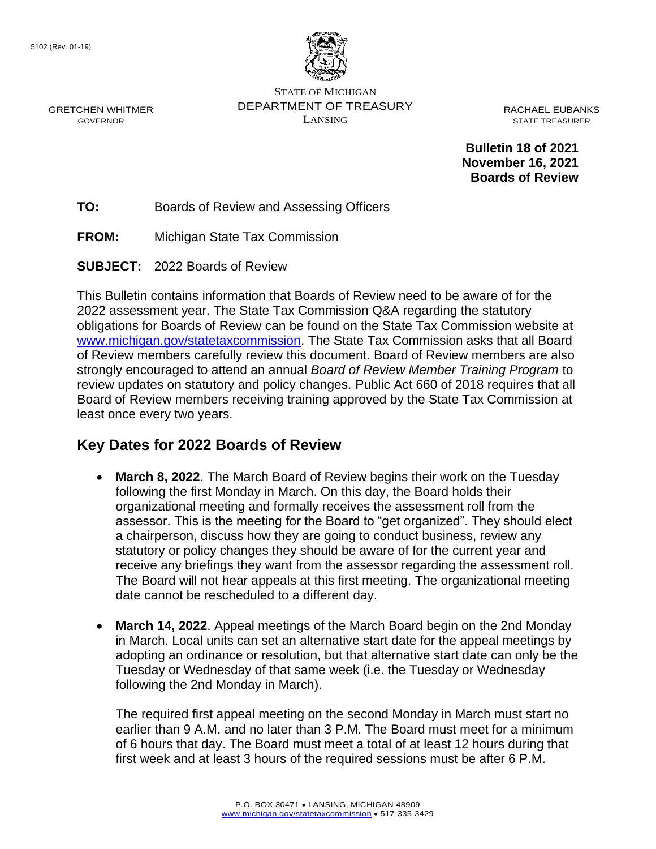GRETCHEN WHITMER GOVERNOR



STATE OF MICHIGAN DEPARTMENT OF TREASURY LANSING

RACHAEL EUBANKS STATE TREASURER

**Bulletin 18 of 2021 November 16, 2021 Boards of Review**

**TO:** Boards of Review and Assessing Officers

**FROM:** Michigan State Tax Commission

**SUBJECT:** 2022 Boards of Review

This Bulletin contains information that Boards of Review need to be aware of for the 2022 assessment year. The State Tax Commission Q&A regarding the statutory obligations for Boards of Review can be found on the State Tax Commission website at [www.michigan.gov/statetaxcommission.](https://www.michigan.gov/statetaxcommission) The State Tax Commission asks that all Board of Review members carefully review this document. Board of Review members are also strongly encouraged to attend an annual *Board of Review Member Training Program* to review updates on statutory and policy changes. Public Act 660 of 2018 requires that all Board of Review members receiving training approved by the State Tax Commission at least once every two years.

#### **Key Dates for 2022 Boards of Review**

- **March 8, 2022**. The March Board of Review begins their work on the Tuesday following the first Monday in March. On this day, the Board holds their organizational meeting and formally receives the assessment roll from the assessor. This is the meeting for the Board to "get organized". They should elect a chairperson, discuss how they are going to conduct business, review any statutory or policy changes they should be aware of for the current year and receive any briefings they want from the assessor regarding the assessment roll. The Board will not hear appeals at this first meeting. The organizational meeting date cannot be rescheduled to a different day.
- **March 14, 2022**. Appeal meetings of the March Board begin on the 2nd Monday in March. Local units can set an alternative start date for the appeal meetings by adopting an ordinance or resolution, but that alternative start date can only be the Tuesday or Wednesday of that same week (i.e. the Tuesday or Wednesday following the 2nd Monday in March).

The required first appeal meeting on the second Monday in March must start no earlier than 9 A.M. and no later than 3 P.M. The Board must meet for a minimum of 6 hours that day. The Board must meet a total of at least 12 hours during that first week and at least 3 hours of the required sessions must be after 6 P.M.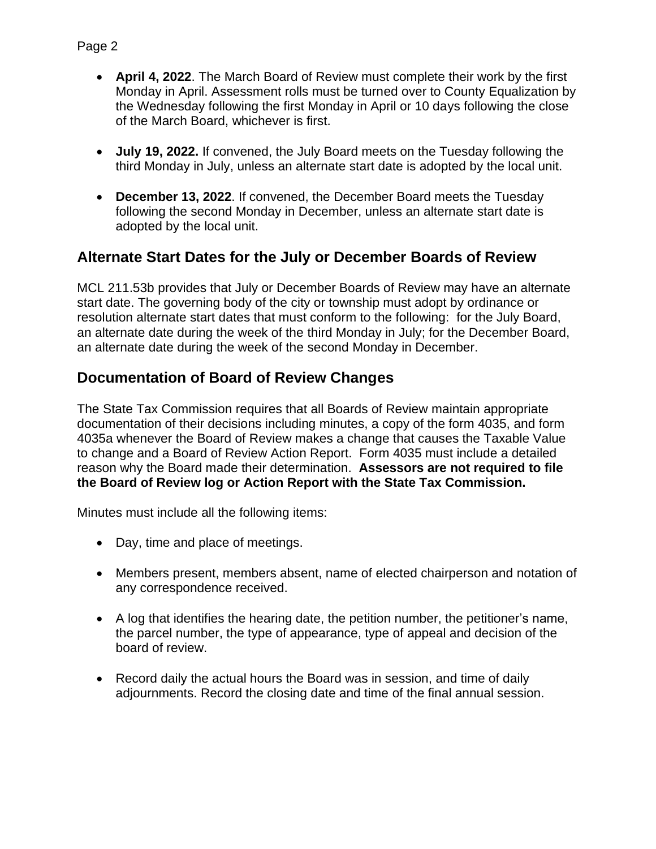- **July 19, 2022.** If convened, the July Board meets on the Tuesday following the third Monday in July, unless an alternate start date is adopted by the local unit.
- **December 13, 2022**. If convened, the December Board meets the Tuesday following the second Monday in December, unless an alternate start date is adopted by the local unit.

## **Alternate Start Dates for the July or December Boards of Review**

MCL 211.53b provides that July or December Boards of Review may have an alternate start date. The governing body of the city or township must adopt by ordinance or resolution alternate start dates that must conform to the following: for the July Board, an alternate date during the week of the third Monday in July; for the December Board, an alternate date during the week of the second Monday in December.

## **Documentation of Board of Review Changes**

The State Tax Commission requires that all Boards of Review maintain appropriate documentation of their decisions including minutes, a copy of the form 4035, and form 4035a whenever the Board of Review makes a change that causes the Taxable Value to change and a Board of Review Action Report. Form 4035 must include a detailed reason why the Board made their determination. **Assessors are not required to file the Board of Review log or Action Report with the State Tax Commission.** 

Minutes must include all the following items:

- Day, time and place of meetings.
- Members present, members absent, name of elected chairperson and notation of any correspondence received.
- A log that identifies the hearing date, the petition number, the petitioner's name, the parcel number, the type of appearance, type of appeal and decision of the board of review.
- Record daily the actual hours the Board was in session, and time of daily adjournments. Record the closing date and time of the final annual session.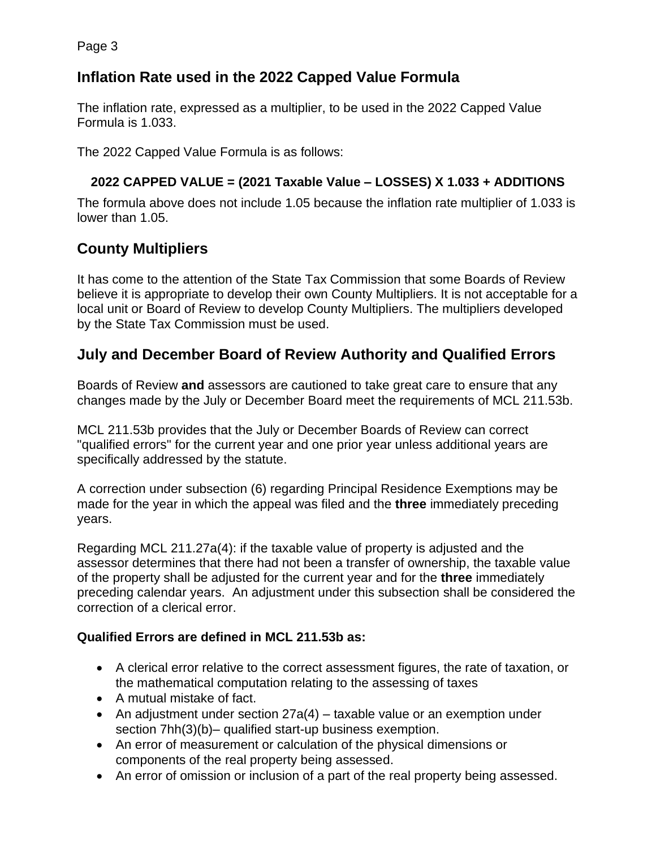## **Inflation Rate used in the 2022 Capped Value Formula**

The inflation rate, expressed as a multiplier, to be used in the 2022 Capped Value Formula is 1.033.

The 2022 Capped Value Formula is as follows:

#### **2022 CAPPED VALUE = (2021 Taxable Value – LOSSES) X 1.033 + ADDITIONS**

The formula above does not include 1.05 because the inflation rate multiplier of 1.033 is lower than 1.05.

## **County Multipliers**

It has come to the attention of the State Tax Commission that some Boards of Review believe it is appropriate to develop their own County Multipliers. It is not acceptable for a local unit or Board of Review to develop County Multipliers. The multipliers developed by the State Tax Commission must be used.

## **July and December Board of Review Authority and Qualified Errors**

Boards of Review **and** assessors are cautioned to take great care to ensure that any changes made by the July or December Board meet the requirements of MCL 211.53b.

MCL 211.53b provides that the July or December Boards of Review can correct "qualified errors" for the current year and one prior year unless additional years are specifically addressed by the statute.

A correction under subsection (6) regarding Principal Residence Exemptions may be made for the year in which the appeal was filed and the **three** immediately preceding years.

Regarding MCL 211.27a(4): if the taxable value of property is adjusted and the assessor determines that there had not been a transfer of ownership, the taxable value of the property shall be adjusted for the current year and for the **three** immediately preceding calendar years. An adjustment under this subsection shall be considered the correction of a clerical error.

#### **Qualified Errors are defined in MCL 211.53b as:**

- A clerical error relative to the correct assessment figures, the rate of taxation, or the mathematical computation relating to the assessing of taxes
- A mutual mistake of fact.
- An adjustment under section 27a(4) taxable value or an exemption under section 7hh(3)(b)– qualified start-up business exemption.
- An error of measurement or calculation of the physical dimensions or components of the real property being assessed.
- An error of omission or inclusion of a part of the real property being assessed.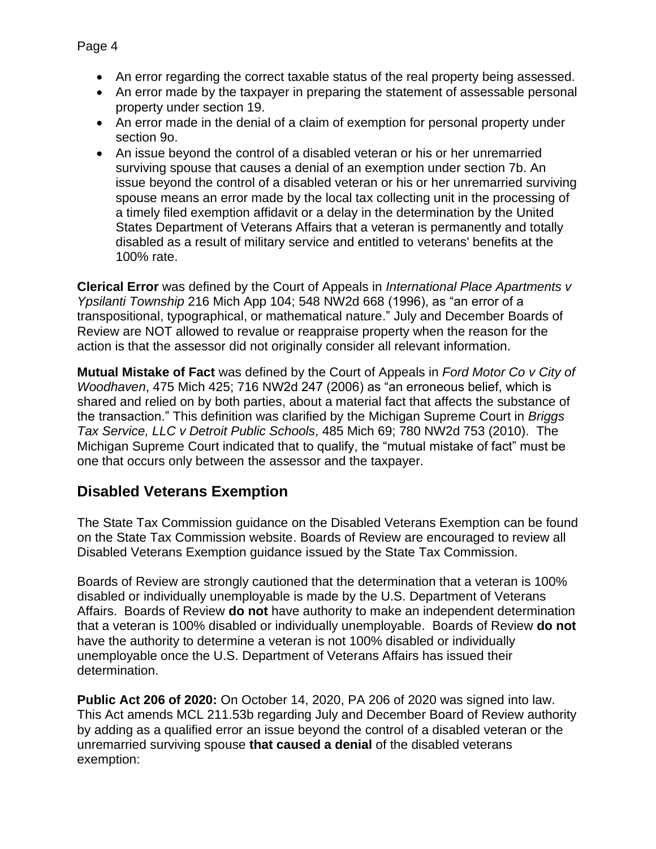- An error regarding the correct taxable status of the real property being assessed.
- An error made by the taxpayer in preparing the statement of assessable personal property under section 19.
- An error made in the denial of a claim of exemption for personal property under section 9o.
- An issue beyond the control of a disabled veteran or his or her unremarried surviving spouse that causes a denial of an exemption under section 7b. An issue beyond the control of a disabled veteran or his or her unremarried surviving spouse means an error made by the local tax collecting unit in the processing of a timely filed exemption affidavit or a delay in the determination by the United States Department of Veterans Affairs that a veteran is permanently and totally disabled as a result of military service and entitled to veterans' benefits at the 100% rate.

**Clerical Error** was defined by the Court of Appeals in *International Place Apartments v Ypsilanti Township* 216 Mich App 104; 548 NW2d 668 (1996), as "an error of a transpositional, typographical, or mathematical nature." July and December Boards of Review are NOT allowed to revalue or reappraise property when the reason for the action is that the assessor did not originally consider all relevant information.

**Mutual Mistake of Fact** was defined by the Court of Appeals in *Ford Motor Co v City of Woodhaven*, 475 Mich 425; 716 NW2d 247 (2006) as "an erroneous belief, which is shared and relied on by both parties, about a material fact that affects the substance of the transaction." This definition was clarified by the Michigan Supreme Court in *Briggs Tax Service, LLC v Detroit Public Schools*, 485 Mich 69; 780 NW2d 753 (2010). The Michigan Supreme Court indicated that to qualify, the "mutual mistake of fact" must be one that occurs only between the assessor and the taxpayer.

## **Disabled Veterans Exemption**

The State Tax Commission guidance on the Disabled Veterans Exemption can be found on the State Tax Commission website. Boards of Review are encouraged to review all Disabled Veterans Exemption guidance issued by the State Tax Commission.

Boards of Review are strongly cautioned that the determination that a veteran is 100% disabled or individually unemployable is made by the U.S. Department of Veterans Affairs. Boards of Review **do not** have authority to make an independent determination that a veteran is 100% disabled or individually unemployable. Boards of Review **do not** have the authority to determine a veteran is not 100% disabled or individually unemployable once the U.S. Department of Veterans Affairs has issued their determination.

**Public Act 206 of 2020:** On October 14, 2020, PA 206 of 2020 was signed into law. This Act amends MCL 211.53b regarding July and December Board of Review authority by adding as a qualified error an issue beyond the control of a disabled veteran or the unremarried surviving spouse **that caused a denial** of the disabled veterans exemption: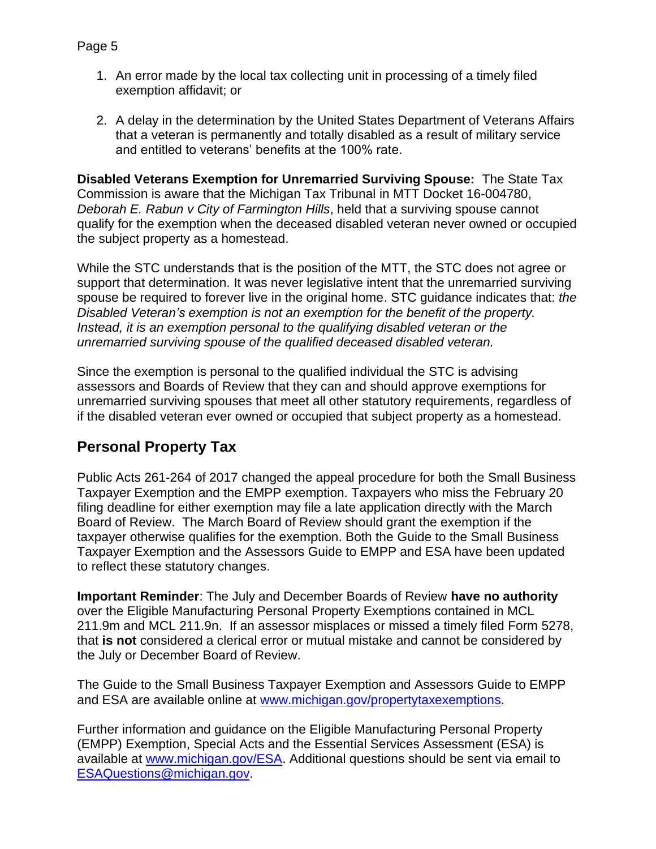2. A delay in the determination by the United States Department of Veterans Affairs that a veteran is permanently and totally disabled as a result of military service and entitled to veterans' benefits at the 100% rate.

**Disabled Veterans Exemption for Unremarried Surviving Spouse:** The State Tax Commission is aware that the Michigan Tax Tribunal in MTT Docket 16-004780, *Deborah E. Rabun v City of Farmington Hills*, held that a surviving spouse cannot qualify for the exemption when the deceased disabled veteran never owned or occupied the subject property as a homestead.

While the STC understands that is the position of the MTT, the STC does not agree or support that determination. It was never legislative intent that the unremarried surviving spouse be required to forever live in the original home. STC guidance indicates that: *the Disabled Veteran's exemption is not an exemption for the benefit of the property. Instead, it is an exemption personal to the qualifying disabled veteran or the unremarried surviving spouse of the qualified deceased disabled veteran.*

Since the exemption is personal to the qualified individual the STC is advising assessors and Boards of Review that they can and should approve exemptions for unremarried surviving spouses that meet all other statutory requirements, regardless of if the disabled veteran ever owned or occupied that subject property as a homestead.

# **Personal Property Tax**

Public Acts 261-264 of 2017 changed the appeal procedure for both the Small Business Taxpayer Exemption and the EMPP exemption. Taxpayers who miss the February 20 filing deadline for either exemption may file a late application directly with the March Board of Review. The March Board of Review should grant the exemption if the taxpayer otherwise qualifies for the exemption. Both the Guide to the Small Business Taxpayer Exemption and the Assessors Guide to EMPP and ESA have been updated to reflect these statutory changes.

**Important Reminder**: The July and December Boards of Review **have no authority** over the Eligible Manufacturing Personal Property Exemptions contained in MCL 211.9m and MCL 211.9n. If an assessor misplaces or missed a timely filed Form 5278, that **is not** considered a clerical error or mutual mistake and cannot be considered by the July or December Board of Review.

The Guide to the Small Business Taxpayer Exemption and Assessors Guide to EMPP and ESA are available online at [www.michigan.gov/propertytaxexemptions.](https://www.michigan.gov/propertytaxexemptions)

Further information and guidance on the Eligible Manufacturing Personal Property (EMPP) Exemption, Special Acts and the Essential Services Assessment (ESA) is available at [www.michigan.gov/ESA.](https://www.michigan.gov/ESA) Additional questions should be sent via email to [ESAQuestions@michigan.gov.](mailto:ESAQuestions@michigan.gov)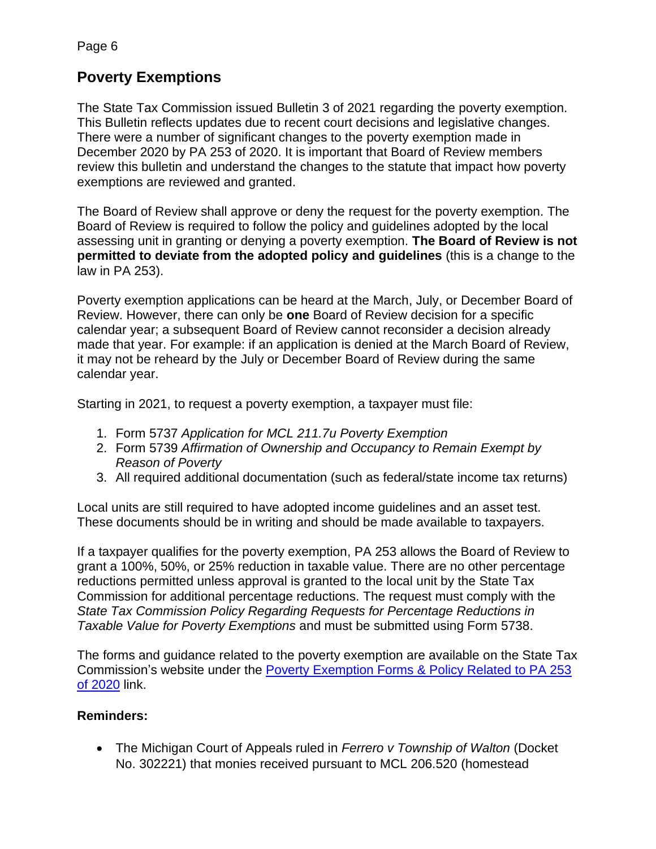Page 6

## **Poverty Exemptions**

The State Tax Commission issued Bulletin 3 of 2021 regarding the poverty exemption. This Bulletin reflects updates due to recent court decisions and legislative changes. There were a number of significant changes to the poverty exemption made in December 2020 by PA 253 of 2020. It is important that Board of Review members review this bulletin and understand the changes to the statute that impact how poverty exemptions are reviewed and granted.

The Board of Review shall approve or deny the request for the poverty exemption. The Board of Review is required to follow the policy and guidelines adopted by the local assessing unit in granting or denying a poverty exemption. **The Board of Review is not permitted to deviate from the adopted policy and guidelines** (this is a change to the law in PA 253).

Poverty exemption applications can be heard at the March, July, or December Board of Review. However, there can only be **one** Board of Review decision for a specific calendar year; a subsequent Board of Review cannot reconsider a decision already made that year. For example: if an application is denied at the March Board of Review, it may not be reheard by the July or December Board of Review during the same calendar year.

Starting in 2021, to request a poverty exemption, a taxpayer must file:

- 1. Form 5737 *Application for MCL 211.7u Poverty Exemption*
- 2. Form 5739 *Affirmation of Ownership and Occupancy to Remain Exempt by Reason of Poverty*
- 3. All required additional documentation (such as federal/state income tax returns)

Local units are still required to have adopted income guidelines and an asset test. These documents should be in writing and should be made available to taxpayers.

If a taxpayer qualifies for the poverty exemption, PA 253 allows the Board of Review to grant a 100%, 50%, or 25% reduction in taxable value. There are no other percentage reductions permitted unless approval is granted to the local unit by the State Tax Commission for additional percentage reductions. The request must comply with the *State Tax Commission Policy Regarding Requests for Percentage Reductions in Taxable Value for Poverty Exemptions* and must be submitted using Form 5738.

The forms and guidance related to the poverty exemption are available on the State Tax Commission's website under the [Poverty Exemption Forms & Policy Related to PA 253](https://www.michigan.gov/treasury/0,4679,7-121-1751_2228-550085--,00.html)  [of 2020](https://www.michigan.gov/treasury/0,4679,7-121-1751_2228-550085--,00.html) link.

#### **Reminders:**

• The Michigan Court of Appeals ruled in *Ferrero v Township of Walton* (Docket No. 302221) that monies received pursuant to MCL 206.520 (homestead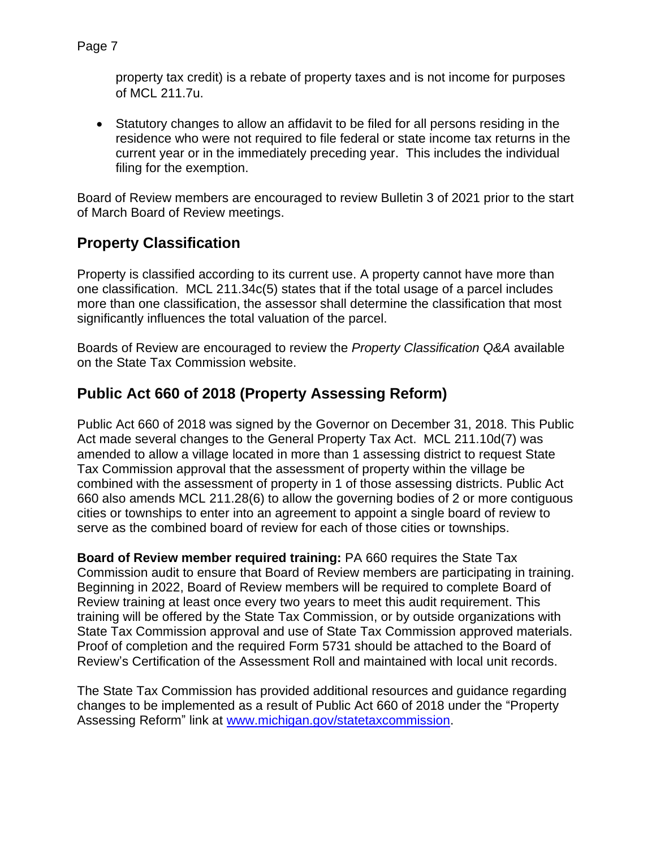```
property tax credit) is a rebate of property taxes and is not income for purposes
```
• Statutory changes to allow an affidavit to be filed for all persons residing in the residence who were not required to file federal or state income tax returns in the current year or in the immediately preceding year. This includes the individual filing for the exemption.

Board of Review members are encouraged to review Bulletin 3 of 2021 prior to the start of March Board of Review meetings.

# **Property Classification**

of MCL 211.7u.

Property is classified according to its current use. A property cannot have more than one classification. MCL 211.34c(5) states that if the total usage of a parcel includes more than one classification, the assessor shall determine the classification that most significantly influences the total valuation of the parcel.

Boards of Review are encouraged to review the *Property Classification Q&A* available on the State Tax Commission website.

# **Public Act 660 of 2018 (Property Assessing Reform)**

Public Act 660 of 2018 was signed by the Governor on December 31, 2018. This Public Act made several changes to the General Property Tax Act. MCL 211.10d(7) was amended to allow a village located in more than 1 assessing district to request State Tax Commission approval that the assessment of property within the village be combined with the assessment of property in 1 of those assessing districts. Public Act 660 also amends MCL 211.28(6) to allow the governing bodies of 2 or more contiguous cities or townships to enter into an agreement to appoint a single board of review to serve as the combined board of review for each of those cities or townships.

**Board of Review member required training:** PA 660 requires the State Tax Commission audit to ensure that Board of Review members are participating in training. Beginning in 2022, Board of Review members will be required to complete Board of Review training at least once every two years to meet this audit requirement. This training will be offered by the State Tax Commission, or by outside organizations with State Tax Commission approval and use of State Tax Commission approved materials. Proof of completion and the required Form 5731 should be attached to the Board of Review's Certification of the Assessment Roll and maintained with local unit records.

The State Tax Commission has provided additional resources and guidance regarding changes to be implemented as a result of Public Act 660 of 2018 under the "Property Assessing Reform" link at [www.michigan.gov/statetaxcommission.](https://www.michigan.gov/statetaxcommission)